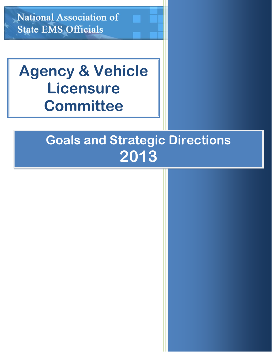**National Association of State EMS Officials** 

# **Agency & Vehicle Licensure Committee**

## **Goals and Strategic Directions 2013**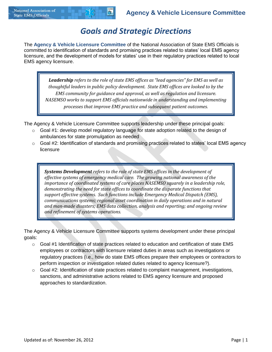## *Goals and Strategic Directions*

The **Agency & Vehicle Licensure Committee** of the National Association of State EMS Officials is committed to identification of standards and promising practices related to states' local EMS agency licensure, and the development of models for states' use in their regulatory practices related to local EMS agency licensure.

*Leadership refers to the role of state EMS offices as "lead agencies" for EMS as well as thoughtful leaders in public policy development. State EMS offices are looked to by the EMS community for guidance and approval, as well as regulation and licensure. NASEMSO works to support EMS officials nationwide in understanding and implementing processes that improve EMS practice and subsequent patient outcomes.*

The Agency & Vehicle Licensure Committee supports leadership under these principal goals:

- $\circ$  Goal #1: develop model regulatory language for state adoption related to the design of ambulances for state promulgation as needed
- $\circ$  Goal #2: Identification of standards and promising practices related to states' local EMS agency licensure

*Systems Development refers to the role of state EMS offices in the development of effective systems of emergency medical care. The growing national awareness of the importance of coordinated systems of care places NASEMSO squarely in a leadership role, demonstrating the need for state offices to coordinate the disparate functions that support effective systems. Such functions include Emergency Medical Dispatch (EMS), communications systems; regional asset coordination in daily operations and in natural and man-made disasters; EMS data collection, analysis and reporting; and ongoing review and refinement of systems operations.*

The Agency & Vehicle Licensure Committee supports systems development under these principal goals:

- $\circ$  Goal #1 Identification of state practices related to education and certification of state EMS employees or contractors with licensure related duties in areas such as investigations or regulatory practices (i.e., how do state EMS offices prepare their employees or contractors to perform inspection or investigation related duties related to agency licensure?).
- $\circ$  Goal #2: Identification of state practices related to complaint management, investigations, sanctions, and administrative actions related to EMS agency licensure and proposed approaches to standardization.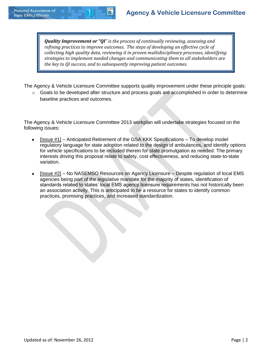*Quality Improvement or "QI" is the process of continually reviewing, assessing and refining practices to improve outcomes. The steps of developing an effective cycle of collecting high quality data, reviewing it in proven multidisciplinary processes, identifying strategies to implement needed changes and communicating them to all stakeholders are the key to QI success, and to subsequently improving patient outcomes.* 

The Agency & Vehicle Licensure Committee supports quality improvement under these principle goals:

o Goals to be developed after structure and process goals are accomplished in order to determine baseline practices and outcomes.

The Agency & Vehicle Licensure Committee 2013 workplan will undertake strategies focused on the following issues:

- [Issue #1] Anticipated Retirement of the GSA KKK Specifications To develop model regulatory language for state adoption related to the design of ambulances, and identify options for vehicle specifications to be included therein for state promulgation as needed. The primary interests driving this proposal relate to safety, cost effectiveness, and reducing state-to-state variation.
- [Issue #2] No NASEMSO Resources on Agency Licensure Despite regulation of local EMS  $\bullet$ agencies being part of the legislative mandate for the majority of states, identification of standards related to states' local EMS agency licensure requirements has not historically been an association activity. This is anticipated to be a resource for states to identify common practices, promising practices, and increased standardization.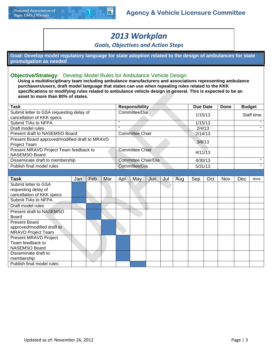

## *2013 Workplan*

#### *Goals, Objectives and Action Steps*

**Goal: Develop model regulatory language for state adoption related to the design of ambulances for state promulgation as needed**

#### **Objective/Strategy**: Develop Model Rules for Ambulance Vehicle Design

**Using a multidisciplinary team including ambulance manufacturers and associations representing ambulance purchasers/users, draft model language that states can use when repealing rules related to the KKK specifications or modifying rules related to ambulance vehicle design in general. This is expected to be an asset to more than 80% of states.**

| <b>Task</b>                                                    |     |     |     |               | <b>Responsibility</b>  |     |     |     | <b>Due Date</b> |         | <b>Done</b> | <b>Budget</b> |            |
|----------------------------------------------------------------|-----|-----|-----|---------------|------------------------|-----|-----|-----|-----------------|---------|-------------|---------------|------------|
| Submit letter to GSA requesting delay of                       |     |     |     |               | Committee/Dia          |     |     |     | 1/15/13         |         |             |               | Staff time |
| cancellation of KKK specs                                      |     |     |     |               |                        |     |     |     |                 |         |             |               |            |
| Submit TIAs to NFPA                                            |     |     |     | $\alpha$      |                        |     |     |     | 1/15/13         |         |             |               | $\epsilon$ |
| Draft model rules                                              |     |     |     | $\epsilon$    |                        |     |     |     | 2/4/13          |         |             |               | $\epsilon$ |
| Present draft to NASEMSO Board                                 |     |     |     |               | <b>Committee Chair</b> |     |     |     | 2/14/13         |         |             |               |            |
| Present Board approved/modified draft to MRAVD<br>Project Team |     |     |     |               |                        |     |     |     | 3/8/13          |         |             |               |            |
| Present MRAVD Project Team feedback to<br><b>NASEMSO Board</b> |     |     |     |               | <b>Committee Chair</b> |     |     |     | 4/11/13         |         |             |               |            |
| Disseminate draft to membership                                |     |     |     |               | Committee Chair/Dia    |     |     |     | 4/30/13         |         |             |               | $\epsilon$ |
| Publish final model rules                                      |     |     |     | Committee/Dia |                        |     |     |     |                 | 5/31/13 |             |               | $\epsilon$ |
|                                                                |     |     |     |               |                        |     |     |     |                 |         |             |               |            |
| Task                                                           | Jan | Feb | Mar | Apr           | May                    | Jun | Jul | Aug | Sep             | Oct     | Nov         | Dec           | done       |
| Submit letter to GSA                                           |     |     |     |               |                        |     |     |     |                 |         |             |               |            |
| requesting delay of                                            |     |     |     |               |                        |     |     |     |                 |         |             |               |            |
| cancellation of KKK specs                                      |     |     |     |               |                        |     |     |     |                 |         |             |               |            |
| Submit TIAs to NFPA                                            |     |     |     |               |                        |     |     |     |                 |         |             |               |            |
| Draft model rules                                              |     |     |     |               |                        |     |     |     |                 |         |             |               |            |
| Present draft to NASEMSO                                       |     |     |     |               |                        |     |     |     |                 |         |             |               |            |
| <b>Board</b>                                                   |     |     |     |               |                        |     |     |     |                 |         |             |               |            |
| <b>Present Board</b>                                           |     |     |     |               |                        |     |     |     |                 |         |             |               |            |
| approved/modified draft to                                     |     |     |     |               |                        |     |     |     |                 |         |             |               |            |
| <b>MRAVD Project Team</b>                                      |     |     |     |               |                        |     |     |     |                 |         |             |               |            |
| Present MRAVD Project                                          |     |     |     |               |                        |     |     |     |                 |         |             |               |            |
| Team feedback to                                               |     |     |     |               |                        |     |     |     |                 |         |             |               |            |
| <b>NASEMSO Board</b>                                           |     |     |     |               |                        |     |     |     |                 |         |             |               |            |
| Disseminate draft to                                           |     |     |     |               |                        |     |     |     |                 |         |             |               |            |
| membership                                                     |     |     |     |               |                        |     |     |     |                 |         |             |               |            |
| Publish final model rules                                      |     |     |     |               |                        |     |     |     |                 |         |             |               |            |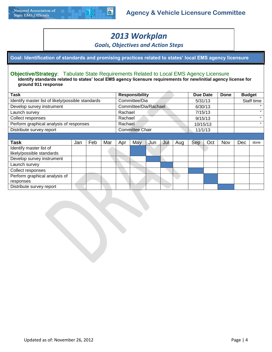

## *2013 Workplan*

*Goals, Objectives and Action Steps*

**Goal: Identification of standards and promising practices related to states' local EMS agency licensure**

#### **Objective/Strategy**: Tabulate State Requirements Related to Local EMS Agency Licensure

**Identify standards related to states' local EMS agency licensure requirements for new/initial agency license for ground 911 response**

| <b>Task</b>                                          |     |     |     |         | <b>Responsibility</b>  |     |     |     | Due Date |          | <b>Done</b> | <b>Budget</b> |            |
|------------------------------------------------------|-----|-----|-----|---------|------------------------|-----|-----|-----|----------|----------|-------------|---------------|------------|
| Identify master list of likely/possible standards    |     |     |     |         | Committee/Dia          |     |     |     | 5/31/13  |          |             |               | Staff time |
| Develop survey instrument                            |     |     |     |         | Committee/Dia/Rachael  |     |     |     | 6/30/13  |          |             |               | $\epsilon$ |
| Launch survey                                        |     |     |     | Rachael |                        |     |     |     |          | 7/15/13  |             |               | $\epsilon$ |
| Collect responses                                    |     |     |     | Rachael |                        |     |     |     | 9/15/13  |          |             |               | $\epsilon$ |
| Perform graphical analysis of responses              |     |     |     | Rachael |                        |     |     |     |          | 10/15/13 |             |               | $\epsilon$ |
| Distribute survey report                             |     |     |     |         | <b>Committee Chair</b> |     |     |     |          | 11/1/13  |             |               |            |
|                                                      |     |     |     |         |                        |     |     |     |          |          |             |               |            |
| <b>Task</b>                                          | Jan | Feb | Mar | Apr     | May                    | Jun | Jul | Aug | Sep      | Oct      | Nov         | Dec           | done       |
| Identify master list of<br>likely/possible standards |     |     |     |         |                        |     |     |     |          |          |             |               |            |
| Develop survey instrument                            |     |     |     |         |                        |     |     |     |          |          |             |               |            |
| Launch survey                                        |     |     |     |         |                        |     |     |     |          |          |             |               |            |
| Collect responses                                    |     |     |     |         |                        |     |     |     |          |          |             |               |            |
| Perform graphical analysis of<br>responses           |     |     |     |         |                        |     |     |     |          |          |             |               |            |
| Distribute survey report                             |     |     |     |         |                        |     |     |     |          |          |             |               |            |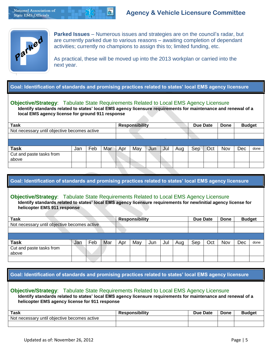

**Parked Issues** – Numerous issues and strategies are on the council's radar, but are currently parked due to various reasons – awaiting completion of dependant activities; currently no champions to assign this to; limited funding, etc.

As practical, these will be moved up into the 2013 workplan or carried into the next year.

**Goal: Identification of standards and promising practices related to states' local EMS agency licensure**

#### **Objective/Strategy**: Tabulate State Requirements Related to Local EMS Agency Licensure

**Identify standards related to states' local EMS agency licensure requirements for maintenance and renewal of a local EMS agency license for ground 911 response**

| <b>Task</b>                                  |     |     |     |     | <b>Responsibility</b> |     |     |     | <b>Due Date</b> |     | Done | <b>Budget</b> |      |
|----------------------------------------------|-----|-----|-----|-----|-----------------------|-----|-----|-----|-----------------|-----|------|---------------|------|
| Not necessary until objective becomes active |     |     |     |     |                       |     |     |     |                 |     |      |               |      |
|                                              |     |     |     |     |                       |     |     |     |                 |     |      |               |      |
|                                              |     |     |     |     |                       |     |     |     |                 |     |      |               |      |
| <b>Task</b>                                  | Jan | Feb | Mar | Apr | May                   | Jun | Jul | Aug | Sep             | Oct | Nov  | Dec           | done |
| Cut and paste tasks from<br>above            |     |     |     |     |                       |     |     |     |                 |     |      |               |      |
|                                              |     |     |     |     |                       |     |     |     |                 |     |      |               |      |

**Goal: Identification of standards and promising practices related to states' local EMS agency licensure**

#### **Objective/Strategy**: Tabulate State Requirements Related to Local EMS Agency Licensure

**Identify standards related to states' local EMS agency licensure requirements for new/initial agency license for helicopter EMS 911 response**

| Task                                         |     |     |     |     | <b>Responsibility</b> |     |     |     | <b>Due Date</b> |     | Done | <b>Budget</b> |      |
|----------------------------------------------|-----|-----|-----|-----|-----------------------|-----|-----|-----|-----------------|-----|------|---------------|------|
| Not necessary until objective becomes active |     |     |     |     |                       |     |     |     |                 |     |      |               |      |
|                                              |     |     |     |     |                       |     |     |     |                 |     |      |               |      |
|                                              |     |     |     |     |                       |     |     |     |                 |     |      |               |      |
| <b>Task</b>                                  | Jan | Feb | Mar | Apr | May                   | Jun | Jul | Aug | Sep             | Oct | Nov  | Dec           | done |
| Cut and paste tasks from<br>above            |     |     |     |     |                       |     |     |     |                 |     |      |               |      |
|                                              |     |     |     |     |                       |     |     |     |                 |     |      |               |      |

#### **Goal: Identification of standards and promising practices related to states' local EMS agency licensure**

**Objective/Strategy**: Tabulate State Requirements Related to Local EMS Agency Licensure **Identify standards related to states' local EMS agency licensure requirements for maintenance and renewal of a helicopter EMS agency license for 911 response**

| Task                                              | <b>Responsibility</b> | <b>Due Date</b> | <b>Done</b> | Budae |
|---------------------------------------------------|-----------------------|-----------------|-------------|-------|
| Not necessary<br>' until obiective becomes active |                       |                 |             |       |
|                                                   |                       |                 |             |       |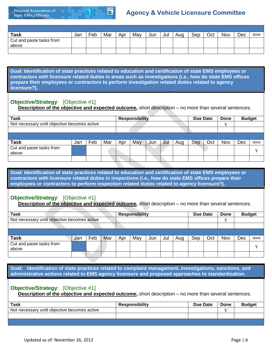

## **Agency & Vehicle Licensure Committee**

| <b>Task</b>                       | Jan | Feb | Mar | Apr | May | Jun | Jul | Aug | Sep | Oct | Nov | Dec | done |
|-----------------------------------|-----|-----|-----|-----|-----|-----|-----|-----|-----|-----|-----|-----|------|
| Cut and paste tasks from<br>above |     |     |     |     |     |     |     |     |     |     |     |     |      |
|                                   |     |     |     |     |     |     |     |     |     |     |     |     |      |

**Goal: Identification of state practices related to education and certification of state EMS employees or contractors with licensure related duties in areas such as investigations (i.e., how do state EMS offices prepare their employees or contractors to perform investigation related duties related to agency licensure?).**

#### **Objective/Strategy**: [Objective #1]

**Description of the objective and expected outcome,** short description – no more than several sentences.

| <b>Task</b>                                  |     |     |     |     | <b>Responsibility</b> |     |     |     | <b>Due Date</b> |     | Done | <b>Budget</b> |                |
|----------------------------------------------|-----|-----|-----|-----|-----------------------|-----|-----|-----|-----------------|-----|------|---------------|----------------|
| Not necessary until objective becomes active |     |     |     |     |                       |     |     |     |                 |     |      |               |                |
|                                              |     |     |     |     |                       |     |     |     |                 |     |      |               |                |
|                                              |     |     |     |     |                       |     |     |     |                 |     |      |               |                |
| <b>Task</b>                                  | Jan | Feb | Mar | Apr | May                   | Jun | Jul | Aug | Sep             | Oct | Nov  | Dec           | done           |
| Cut and paste tasks from<br>above            |     |     |     |     |                       |     |     |     |                 |     |      |               | $\overline{r}$ |
|                                              |     |     |     |     |                       |     |     |     |                 |     |      |               |                |

**Goal: Identification of state practices related to education and certification of state EMS employees or contractors with licensure related duties in inspections (i.e., how do state EMS offices prepare their employees or contractors to perform inspection related duties related to agency licensure?).**

#### **Objective/Strategy**: [Objective #1]

**Description of the objective and expected outcome,** short description – no more than several sentences.

| <b>Task</b>                       |                                              |     |     |     | <b>Responsibility</b> |     |     |     | <b>Due Date</b> |     | Done | <b>Budget</b> |                |
|-----------------------------------|----------------------------------------------|-----|-----|-----|-----------------------|-----|-----|-----|-----------------|-----|------|---------------|----------------|
|                                   | Not necessary until objective becomes active |     |     |     |                       |     |     |     |                 |     | ٦Z   |               |                |
|                                   |                                              |     |     |     |                       |     |     |     |                 |     |      |               |                |
|                                   |                                              |     |     |     |                       |     |     |     |                 |     |      |               |                |
| <b>Task</b>                       | Jan                                          | Feb | Mar | Apr | May                   | Jun | Jul | Aug | Sep             | Oct | Nov  | Dec           | done           |
| Cut and paste tasks from<br>above |                                              |     |     |     |                       |     |     |     |                 |     |      |               | $\overline{r}$ |
|                                   |                                              |     |     |     |                       |     |     |     |                 |     |      |               |                |

**Goal: Identification of state practices related to complaint management, investigations, sanctions, and administrative actions related to EMS agency licensure and proposed approaches to standardization.**

#### **Objective/Strategy**: [Objective #1]

**Description of the objective and expected outcome,** short description – no more than several sentences.

| Task                                         | <b>Responsibility</b> | <b>Due Date</b> | Done | <b>Budget</b> |
|----------------------------------------------|-----------------------|-----------------|------|---------------|
| Not necessary until objective becomes active |                       |                 |      |               |
|                                              |                       |                 |      |               |
|                                              |                       |                 |      |               |